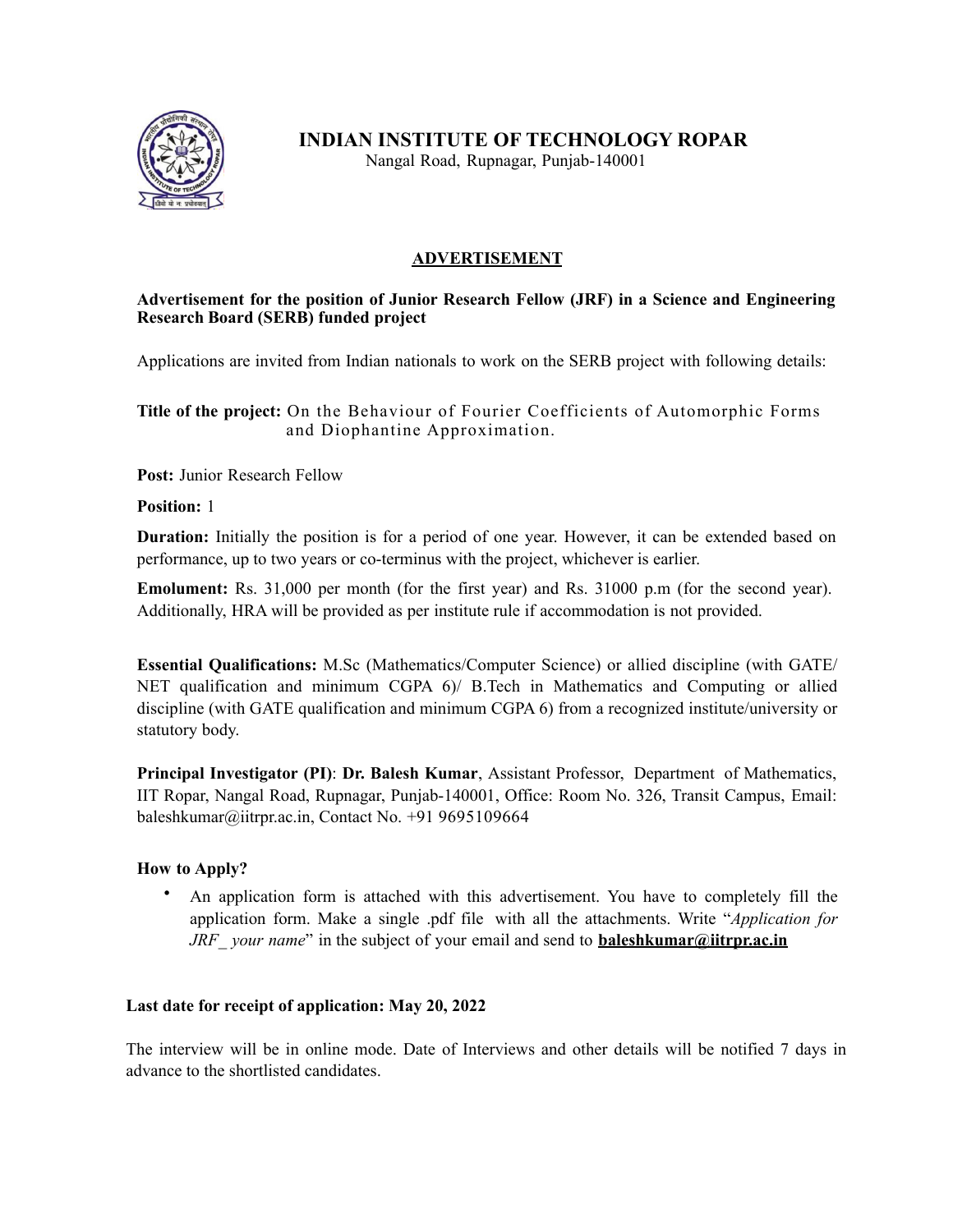

**INDIAN INSTITUTE OF TECHNOLOGY ROPAR** 

Nangal Road, Rupnagar, Punjab-140001

## **ADVERTISEMENT**

### **Advertisement for the position of Junior Research Fellow (JRF) in a Science and Engineering Research Board (SERB) funded project**

Applications are invited from Indian nationals to work on the SERB project with following details:

**Title of the project:** On the Behaviour of Fourier Coefficients of Automorphic Forms and Diophantine Approximation.

**Post:** Junior Research Fellow

**Position:** 1

**Duration:** Initially the position is for a period of one year. However, it can be extended based on performance, up to two years or co-terminus with the project, whichever is earlier.

**Emolument:** Rs. 31,000 per month (for the first year) and Rs. 31000 p.m (for the second year). Additionally, HRA will be provided as per institute rule if accommodation is not provided.

**Essential Qualifications:** M.Sc (Mathematics/Computer Science) or allied discipline (with GATE/ NET qualification and minimum CGPA 6)/ B.Tech in Mathematics and Computing or allied discipline (with GATE qualification and minimum CGPA 6) from a recognized institute/university or statutory body.

**Principal Investigator (PI)**: **Dr. Balesh Kumar**, Assistant Professor, Department of Mathematics, IIT Ropar, Nangal Road, Rupnagar, Punjab-140001, Office: Room No. 326, Transit Campus, Email: [baleshkumar@iitrpr.ac.in,](mailto:baleshkumar@iitrpr.ac.in) Contact No. +91 9695109664

## **How to Apply?**

• An application form is attached with this advertisement. You have to completely fill the application form. Make a single .pdf file with all the attachments. Write "*Application for JRF your name*" in the subject of your email and send to **[baleshkumar@iitrpr.ac.in](mailto:baleshkumar@iitrpr.ac.in)** 

## **Last date for receipt of application: May 20, 2022**

The interview will be in online mode. Date of Interviews and other details will be notified 7 days in advance to the shortlisted candidates.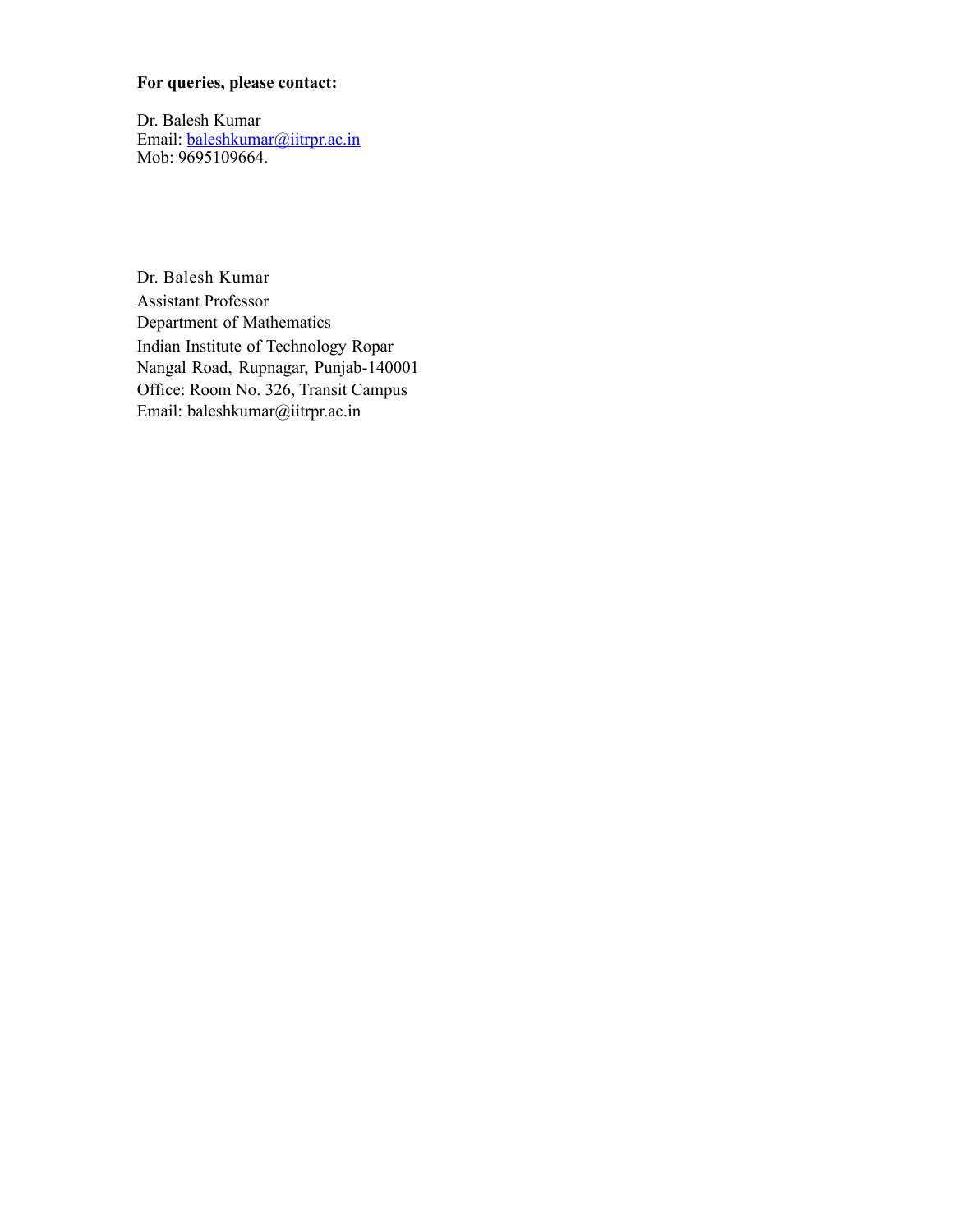#### **For queries, please contact:**

Dr. Balesh Kumar Email: [baleshkumar@iitrpr.ac.in](mailto:baleshkumar@iitrpr.ac.in) Mob: 9695109664.

Dr. Balesh Kumar Assistant Professor Department of Mathematics Indian Institute of Technology Ropar Nangal Road, Rupnagar, Punjab-140001 Office: Room No. 326, Transit Campus Email: [baleshkumar@iitrpr.ac.in](mailto:baleshkumar@iitrpr.ac.in)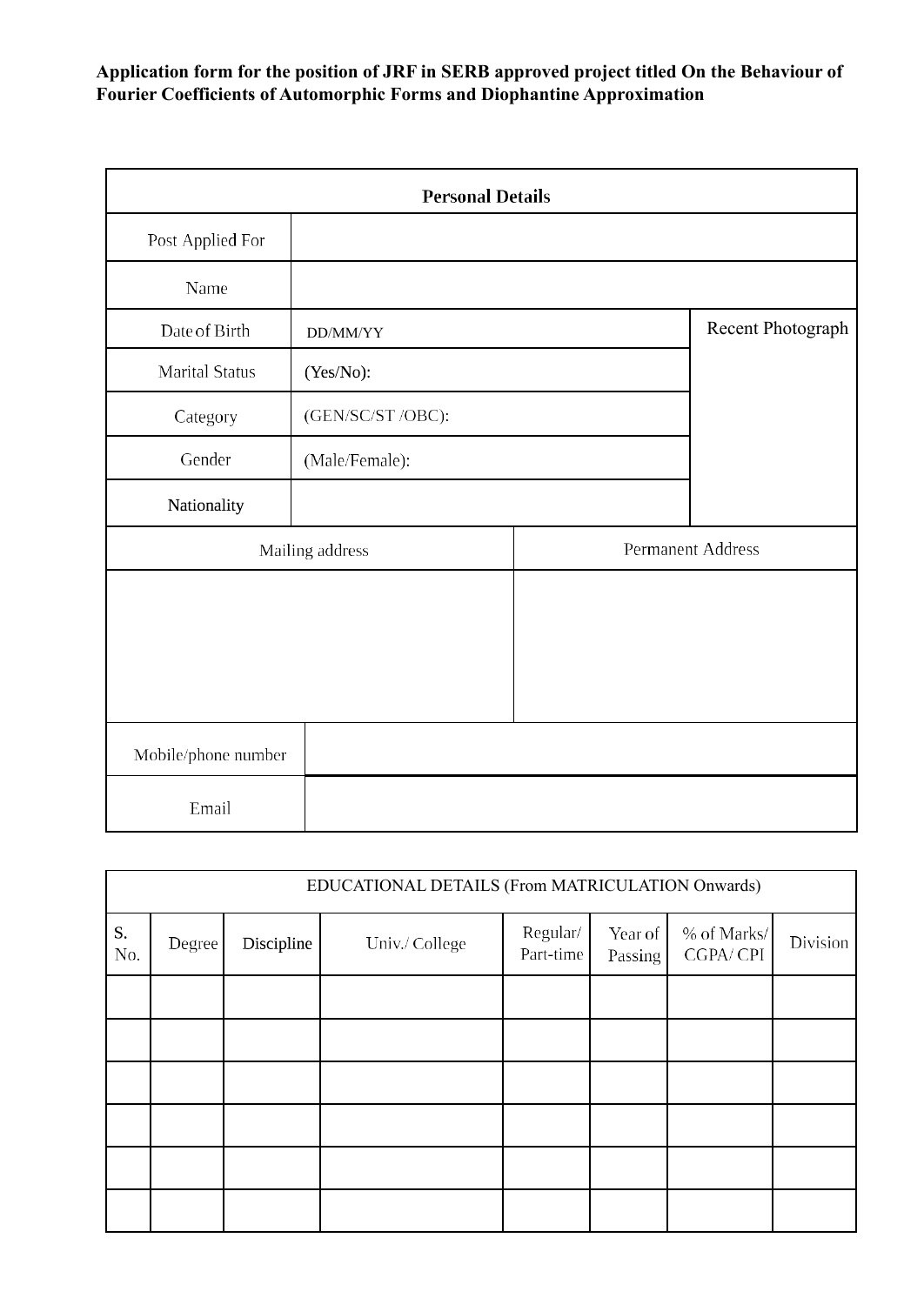# **Application form for the position of JRF in SERB approved project titled On the Behaviour of Fourier Coefficients of Automorphic Forms and Diophantine Approximation**

|                       | <b>Personal Details</b> |                   |  |
|-----------------------|-------------------------|-------------------|--|
| Post Applied For      |                         |                   |  |
| Name                  |                         |                   |  |
| Date of Birth         | DD/MM/YY                | Recent Photograph |  |
| <b>Marital Status</b> | (Yes/No):               |                   |  |
| Category              | (GEN/SC/ST /OBC):       |                   |  |
| Gender                | (Male/Female):          |                   |  |
| Nationality           |                         |                   |  |
| Mailing address       |                         | Permanent Address |  |
|                       |                         |                   |  |
|                       |                         |                   |  |
|                       |                         |                   |  |
|                       |                         |                   |  |
| Mobile/phone number   |                         |                   |  |
| Email                 |                         |                   |  |

|           | EDUCATIONAL DETAILS (From MATRICULATION Onwards) |            |                |                       |                    |                         |          |
|-----------|--------------------------------------------------|------------|----------------|-----------------------|--------------------|-------------------------|----------|
| S.<br>No. | Degree                                           | Discipline | Univ./ College | Regular/<br>Part-time | Year of<br>Passing | % of Marks/<br>CGPA/CPI | Division |
|           |                                                  |            |                |                       |                    |                         |          |
|           |                                                  |            |                |                       |                    |                         |          |
|           |                                                  |            |                |                       |                    |                         |          |
|           |                                                  |            |                |                       |                    |                         |          |
|           |                                                  |            |                |                       |                    |                         |          |
|           |                                                  |            |                |                       |                    |                         |          |